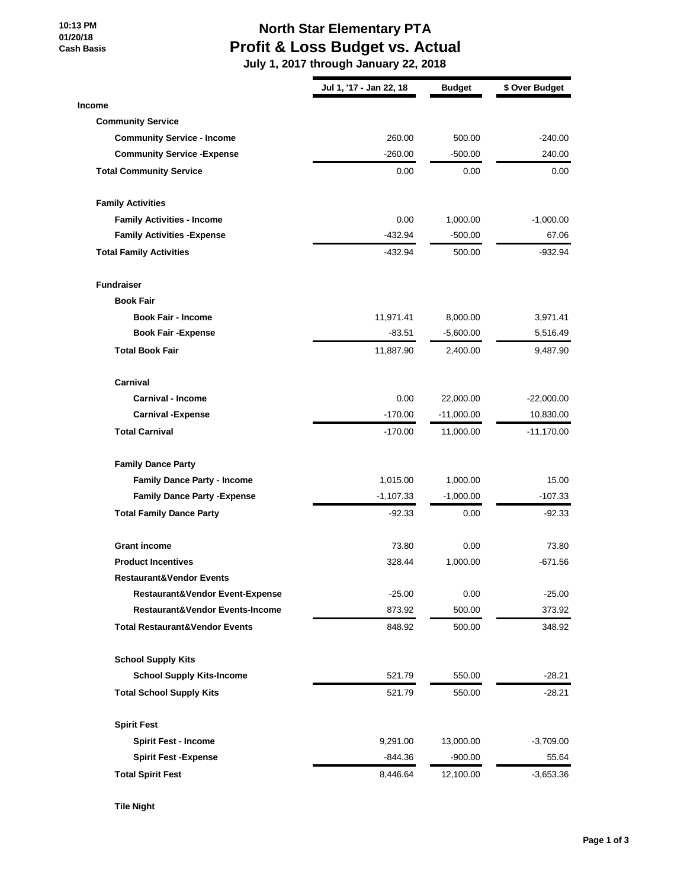**10:13 PM 01/20/18 Cash Basis**

## **North Star Elementary PTA Profit & Loss Budget vs. Actual**

 **July 1, 2017 through January 22, 2018**

|                                           | Jul 1, '17 - Jan 22, 18 | <b>Budget</b> | \$ Over Budget |
|-------------------------------------------|-------------------------|---------------|----------------|
| <b>Income</b>                             |                         |               |                |
| <b>Community Service</b>                  |                         |               |                |
| <b>Community Service - Income</b>         | 260.00                  | 500.00        | $-240.00$      |
| <b>Community Service - Expense</b>        | $-260.00$               | -500.00       | 240.00         |
| <b>Total Community Service</b>            | 0.00                    | 0.00          | 0.00           |
| <b>Family Activities</b>                  |                         |               |                |
| <b>Family Activities - Income</b>         | 0.00                    | 1,000.00      | $-1,000.00$    |
| <b>Family Activities - Expense</b>        | $-432.94$               | $-500.00$     | 67.06          |
| <b>Total Family Activities</b>            | $-432.94$               | 500.00        | -932.94        |
| <b>Fundraiser</b>                         |                         |               |                |
| <b>Book Fair</b>                          |                         |               |                |
| <b>Book Fair - Income</b>                 | 11,971.41               | 8,000.00      | 3,971.41       |
| <b>Book Fair -Expense</b>                 | $-83.51$                | $-5,600.00$   | 5,516.49       |
| <b>Total Book Fair</b>                    | 11,887.90               | 2,400.00      | 9,487.90       |
| Carnival                                  |                         |               |                |
| <b>Carnival - Income</b>                  | 0.00                    | 22,000.00     | $-22,000.00$   |
| <b>Carnival - Expense</b>                 | $-170.00$               | $-11,000.00$  | 10,830.00      |
| <b>Total Carnival</b>                     | $-170.00$               | 11,000.00     | $-11,170.00$   |
| <b>Family Dance Party</b>                 |                         |               |                |
| <b>Family Dance Party - Income</b>        | 1,015.00                | 1,000.00      | 15.00          |
| <b>Family Dance Party - Expense</b>       | $-1,107.33$             | $-1,000.00$   | $-107.33$      |
| <b>Total Family Dance Party</b>           | $-92.33$                | 0.00          | -92.33         |
| <b>Grant income</b>                       | 73.80                   | 0.00          | 73.80          |
| <b>Product Incentives</b>                 | 328.44                  | 1,000.00      | $-671.56$      |
| <b>Restaurant&amp;Vendor Events</b>       |                         |               |                |
| Restaurant&Vendor Event-Expense           | $-25.00$                | 0.00          | $-25.00$       |
| Restaurant&Vendor Events-Income           | 873.92                  | 500.00        | 373.92         |
| <b>Total Restaurant&amp;Vendor Events</b> | 848.92                  | 500.00        | 348.92         |
| <b>School Supply Kits</b>                 |                         |               |                |
| <b>School Supply Kits-Income</b>          | 521.79                  | 550.00        | $-28.21$       |
| <b>Total School Supply Kits</b>           | 521.79                  | 550.00        | $-28.21$       |
| <b>Spirit Fest</b>                        |                         |               |                |
| <b>Spirit Fest - Income</b>               | 9,291.00                | 13,000.00     | $-3,709.00$    |
| <b>Spirit Fest -Expense</b>               | -844.36                 | $-900.00$     | 55.64          |
| <b>Total Spirit Fest</b>                  | 8,446.64                | 12,100.00     | $-3,653.36$    |

**Tile Night**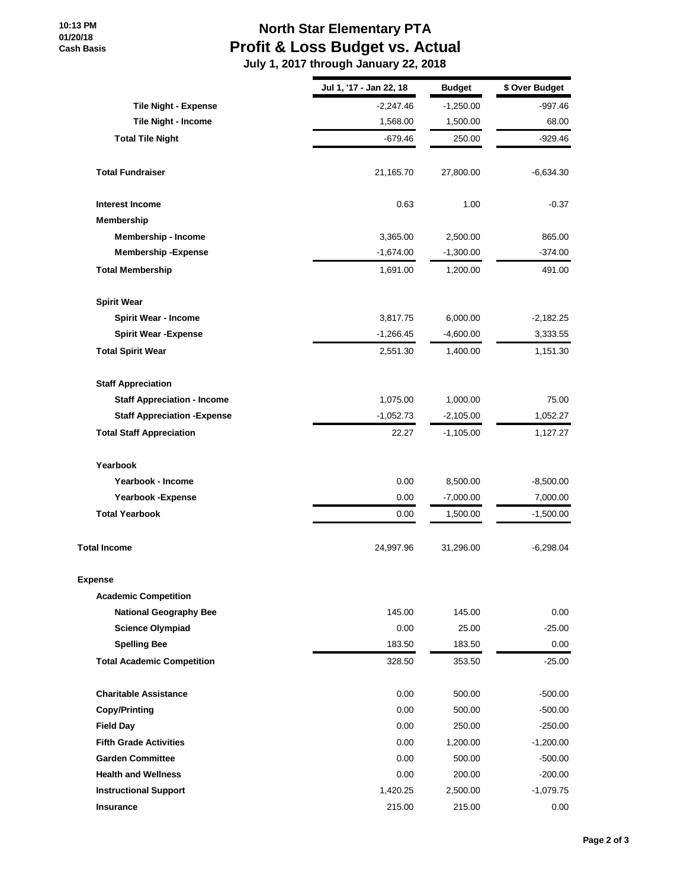## **North Star Elementary PTA Profit & Loss Budget vs. Actual**

 **July 1, 2017 through January 22, 2018**

|                                     | Jul 1, '17 - Jan 22, 18 | <b>Budget</b> | \$ Over Budget |
|-------------------------------------|-------------------------|---------------|----------------|
| <b>Tile Night - Expense</b>         | $-2,247.46$             | $-1,250.00$   | -997.46        |
| Tile Night - Income                 | 1,568.00                | 1,500.00      | 68.00          |
| <b>Total Tile Night</b>             | $-679.46$               | 250.00        | $-929.46$      |
| <b>Total Fundraiser</b>             | 21,165.70               | 27,800.00     | -6,634.30      |
| <b>Interest Income</b>              | 0.63                    | 1.00          | $-0.37$        |
| Membership                          |                         |               |                |
| <b>Membership - Income</b>          | 3,365.00                | 2,500.00      | 865.00         |
| <b>Membership - Expense</b>         | $-1,674.00$             | $-1,300.00$   | $-374.00$      |
| <b>Total Membership</b>             | 1,691.00                | 1,200.00      | 491.00         |
| <b>Spirit Wear</b>                  |                         |               |                |
| <b>Spirit Wear - Income</b>         | 3,817.75                | 6,000.00      | $-2,182.25$    |
| <b>Spirit Wear - Expense</b>        | $-1,266.45$             | $-4,600.00$   | 3,333.55       |
| <b>Total Spirit Wear</b>            | 2,551.30                | 1,400.00      | 1,151.30       |
| <b>Staff Appreciation</b>           |                         |               |                |
| <b>Staff Appreciation - Income</b>  | 1,075.00                | 1,000.00      | 75.00          |
| <b>Staff Appreciation - Expense</b> | $-1,052.73$             | $-2,105.00$   | 1,052.27       |
| <b>Total Staff Appreciation</b>     | 22.27                   | $-1,105.00$   | 1,127.27       |
| Yearbook                            |                         |               |                |
| Yearbook - Income                   | 0.00                    | 8,500.00      | -8,500.00      |
| Yearbook - Expense                  | 0.00                    | $-7,000.00$   | 7,000.00       |
| <b>Total Yearbook</b>               | 0.00                    | 1,500.00      | $-1,500.00$    |
| <b>Total Income</b>                 | 24,997.96               | 31,296.00     | $-6,298.04$    |
| <b>Expense</b>                      |                         |               |                |
| <b>Academic Competition</b>         |                         |               |                |
| <b>National Geography Bee</b>       | 145.00                  | 145.00        | 0.00           |
| <b>Science Olympiad</b>             | 0.00                    | 25.00         | $-25.00$       |
| <b>Spelling Bee</b>                 | 183.50                  | 183.50        | 0.00           |
| <b>Total Academic Competition</b>   | 328.50                  | 353.50        | $-25.00$       |
| <b>Charitable Assistance</b>        | 0.00                    | 500.00        | $-500.00$      |
| <b>Copy/Printing</b>                | 0.00                    | 500.00        | $-500.00$      |
| <b>Field Day</b>                    | 0.00                    | 250.00        | $-250.00$      |
| <b>Fifth Grade Activities</b>       | 0.00                    | 1,200.00      | $-1,200.00$    |
| <b>Garden Committee</b>             | 0.00                    | 500.00        | $-500.00$      |
| <b>Health and Wellness</b>          | 0.00                    | 200.00        | $-200.00$      |
| <b>Instructional Support</b>        | 1,420.25                | 2,500.00      | $-1,079.75$    |
| Insurance                           | 215.00                  | 215.00        | 0.00           |